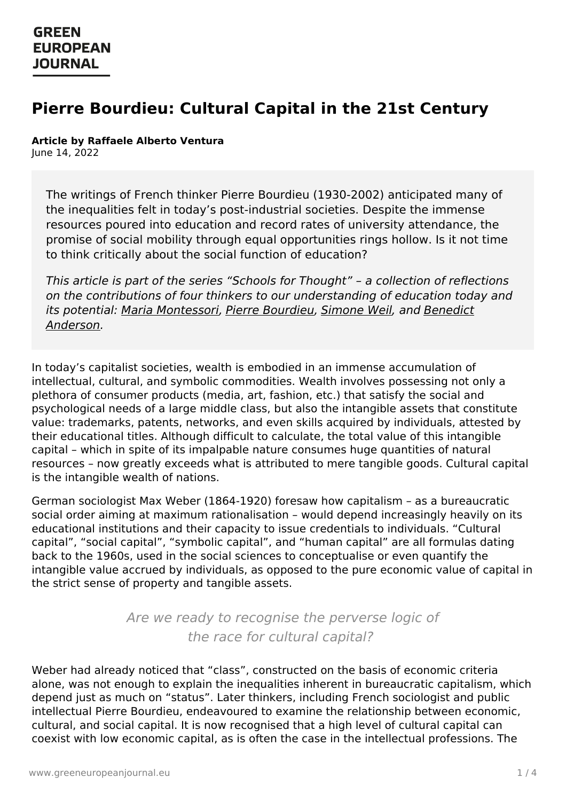# **Pierre Bourdieu: Cultural Capital in the 21st Century**

#### **Article by Raffaele Alberto Ventura**

June 14, 2022

The writings of French thinker Pierre Bourdieu (1930-2002) anticipated many of the inequalities felt in today's post-industrial societies. Despite the immense resources poured into education and record rates of university attendance, the promise of social mobility through equal opportunities rings hollow. Is it not time to think critically about the social function of education?

This article is part of the series "Schools for Thought" – a collection of reflections on the contributions of four thinkers to our understanding of education today and its potential: Maria [Montessor](https://www.greeneuropeanjournal.eu/maria-montessori-a-radical-approach-to-learning/(opens%20in%20a%20new%20tab))[i,](https://www.greeneuropeanjournal.eu/benedict-anderson-reimagined-re-engineered-and-restored-communities) Pierre [Bourdieu](https://www.greeneuropeanjournal.eu/pierre-bourdieu-cultural-capital-in-the-21st-century/), [Simone](https://www.greeneuropeanjournal.eu//simone-weil-the-price-of-paying-attention) Weil, and Benedict Anderson.

In today's capitalist societies, wealth is embodied in an immense accumulation of intellectual, cultural, and symbolic commodities. Wealth involves possessing not only a plethora of consumer products (media, art, fashion, etc.) that satisfy the social and psychological needs of a large middle class, but also the intangible assets that constitute value: trademarks, patents, networks, and even skills acquired by individuals, attested by their educational titles. Although difficult to calculate, the total value of this intangible capital – which in spite of its impalpable nature consumes huge quantities of natural resources – now greatly exceeds what is attributed to mere tangible goods. Cultural capital is the intangible wealth of nations.

German sociologist Max Weber (1864-1920) foresaw how capitalism – as a bureaucratic social order aiming at maximum rationalisation – would depend increasingly heavily on its educational institutions and their capacity to issue credentials to individuals. "Cultural capital", "social capital", "symbolic capital", and "human capital" are all formulas dating back to the 1960s, used in the social sciences to conceptualise or even quantify the intangible value accrued by individuals, as opposed to the pure economic value of capital in the strict sense of property and tangible assets.

> Are we ready to recognise the perverse logic of the race for cultural capital?

Weber had [already](https://www.greeneuropeanjournal.eu) noticed that "class", constructed on the basis of economic criteria alone, was not enough to explain the inequalities inherent in bureaucratic capitalism, which depend just as much on "status". Later thinkers, including French sociologist and public intellectual Pierre Bourdieu, endeavoured to examine the relationship between economic, cultural, and social capital. It is now recognised that a high level of cultural capital can coexist with low economic capital, as is often the case in the intellectual professions. The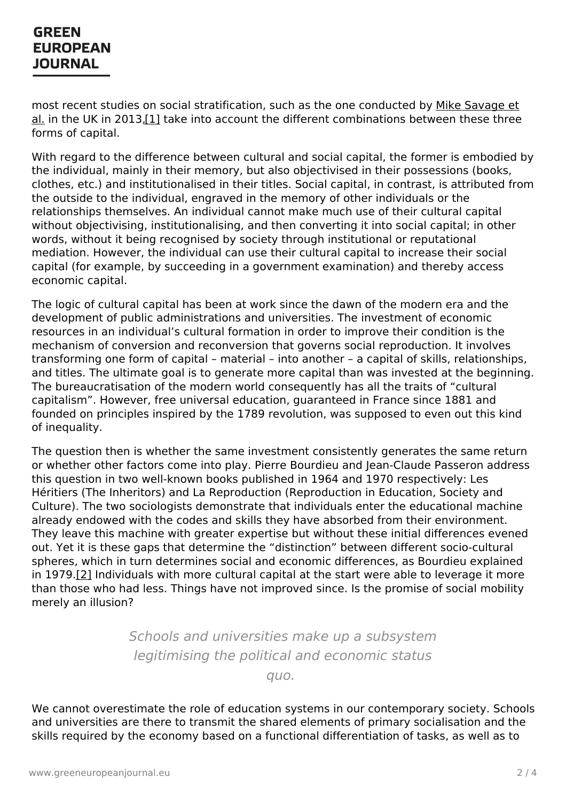### **GREEN EUROPEAN JOURNAL**

<span id="page-1-0"></span>most recent studies on social stratification, such as the one conducted by Mike Savage et al. in the UK in 2013,<sup>[1]</sup> take into account the different [combinations](https://journals.sagepub.com/doi/full/10.1177/0038038513481128) between these three forms of capital.

With regard to the difference between cultural and social capital, the former is embodied by the individual, mainly in their memory, but also objectivised in their possessions (books, clothes, etc.) and institutionalised in their titles. Social capital, in contrast, is attributed from the outside to the individual, engraved in the memory of other individuals or the relationships themselves. An individual cannot make much use of their cultural capital without objectivising, institutionalising, and then converting it into social capital; in other words, without it being recognised by society through institutional or reputational mediation. However, the individual can use their cultural capital to increase their social capital (for example, by succeeding in a government examination) and thereby access economic capital.

The logic of cultural capital has been at work since the dawn of the modern era and the development of public administrations and universities. The investment of economic resources in an individual's cultural formation in order to improve their condition is the mechanism of conversion and reconversion that governs social reproduction. It involves transforming one form of capital – material – into another – a capital of skills, relationships, and titles. The ultimate goal is to generate more capital than was invested at the beginning. The bureaucratisation of the modern world consequently has all the traits of "cultural capitalism". However, free universal education, guaranteed in France since 1881 and founded on principles inspired by the 1789 revolution, was supposed to even out this kind of inequality.

The question then is whether the same investment consistently generates the same return or whether other factors come into play. Pierre Bourdieu and Jean-Claude Passeron address this question in two well-known books published in 1964 and 1970 respectively: Les Héritiers (The Inheritors) and La Reproduction (Reproduction in Education, Society and Culture). The two sociologists demonstrate that individuals enter the educational machine already endowed with the codes and skills they have absorbed from their environment. They leave this machine with greater expertise but without these initial differences evened out. Yet it is these gaps that determine the "distinction" between different socio-cultural spheres, which in turn determines social and economic differences, as Bourdieu explained in 1979.<sup>[\[2\]](#page-3-1)</sup> Individuals with more cultural capital at the start were able to leverage it more than those who had less. Things have not improved since. Is the promise of social mobility merely an illusion?

> <span id="page-1-1"></span>Schools and universities make up a subsystem legitimising the political and economic status

> > quo.

We cannot overestimate the role of education systems in our contemporary society. Schools and universities are there to transmit the shared elements of primary socialisation and the skills required by the economy based on a functional differentiation of tasks, as well as to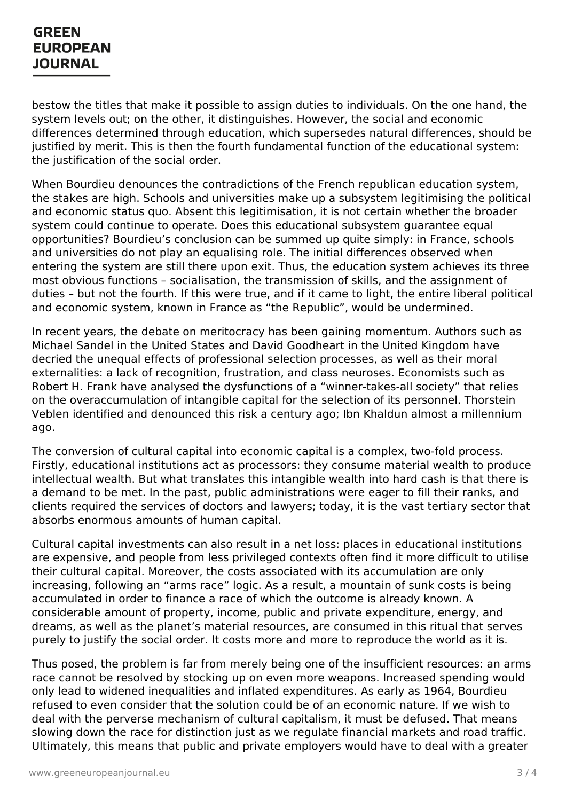### **GREEN EUROPEAN JOURNAL**

bestow the titles that make it possible to assign duties to individuals. On the one hand, the system levels out; on the other, it distinguishes. However, the social and economic differences determined through education, which supersedes natural differences, should be justified by merit. This is then the fourth fundamental function of the educational system: the justification of the social order.

When Bourdieu denounces the contradictions of the French republican education system, the stakes are high. Schools and universities make up a subsystem legitimising the political and economic status quo. Absent this legitimisation, it is not certain whether the broader system could continue to operate. Does this educational subsystem guarantee equal opportunities? Bourdieu's conclusion can be summed up quite simply: in France, schools and universities do not play an equalising role. The initial differences observed when entering the system are still there upon exit. Thus, the education system achieves its three most obvious functions – socialisation, the transmission of skills, and the assignment of duties – but not the fourth. If this were true, and if it came to light, the entire liberal political and economic system, known in France as "the Republic", would be undermined.

In recent years, the debate on meritocracy has been gaining momentum. Authors such as Michael Sandel in the United States and David Goodheart in the United Kingdom have decried the unequal effects of professional selection processes, as well as their moral externalities: a lack of recognition, frustration, and class neuroses. Economists such as Robert H. Frank have analysed the dysfunctions of a "winner-takes-all society" that relies on the overaccumulation of intangible capital for the selection of its personnel. Thorstein Veblen identified and denounced this risk a century ago; Ibn Khaldun almost a millennium ago.

The conversion of cultural capital into economic capital is a complex, two-fold process. Firstly, educational institutions act as processors: they consume material wealth to produce intellectual wealth. But what translates this intangible wealth into hard cash is that there is a demand to be met. In the past, public administrations were eager to fill their ranks, and clients required the services of doctors and lawyers; today, it is the vast tertiary sector that absorbs enormous amounts of human capital.

Cultural capital investments can also result in a net loss: places in educational institutions are expensive, and people from less privileged contexts often find it more difficult to utilise their cultural capital. Moreover, the costs associated with its accumulation are only increasing, following an "arms race" logic. As a result, a mountain of sunk costs is being accumulated in order to finance a race of which the outcome is already known. A considerable amount of property, income, public and private expenditure, energy, and dreams, as well as the planet's material resources, are consumed in this ritual that serves purely to justify the social order. It costs more and more to reproduce the world as it is.

Thus posed, the problem is far from merely being one of the insufficient resources: an arms race cannot be [resolved](https://www.greeneuropeanjournal.eu) by stocking up on even more weapons. Increased spending would only lead to widened inequalities and inflated expenditures. As early as 1964, Bourdieu refused to even consider that the solution could be of an economic nature. If we wish to deal with the perverse mechanism of cultural capitalism, it must be defused. That means slowing down the race for distinction just as we regulate financial markets and road traffic. Ultimately, this means that public and private employers would have to deal with a greater